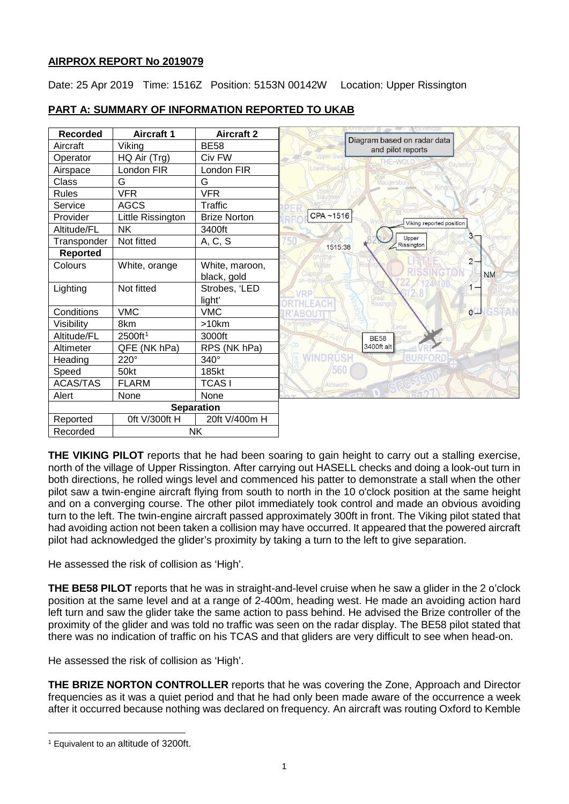# **AIRPROX REPORT No 2019079**

Date: 25 Apr 2019 Time: 1516Z Position: 5153N 00142W Location: Upper Rissington



# **PART A: SUMMARY OF INFORMATION REPORTED TO UKAB**

**THE VIKING PILOT** reports that he had been soaring to gain height to carry out a stalling exercise, north of the village of Upper Rissington. After carrying out HASELL checks and doing a look-out turn in both directions, he rolled wings level and commenced his patter to demonstrate a stall when the other pilot saw a twin-engine aircraft flying from south to north in the 10 o'clock position at the same height and on a converging course. The other pilot immediately took control and made an obvious avoiding turn to the left. The twin-engine aircraft passed approximately 300ft in front. The Viking pilot stated that had avoiding action not been taken a collision may have occurred. It appeared that the powered aircraft pilot had acknowledged the glider's proximity by taking a turn to the left to give separation.

He assessed the risk of collision as 'High'.

**THE BE58 PILOT** reports that he was in straight-and-level cruise when he saw a glider in the 2 o'clock position at the same level and at a range of 2-400m, heading west. He made an avoiding action hard left turn and saw the glider take the same action to pass behind. He advised the Brize controller of the proximity of the glider and was told no traffic was seen on the radar display. The BE58 pilot stated that there was no indication of traffic on his TCAS and that gliders are very difficult to see when head-on.

He assessed the risk of collision as 'High'.

**THE BRIZE NORTON CONTROLLER** reports that he was covering the Zone, Approach and Director frequencies as it was a quiet period and that he had only been made aware of the occurrence a week after it occurred because nothing was declared on frequency. An aircraft was routing Oxford to Kemble

<span id="page-0-0"></span> $\overline{\phantom{a}}$ <sup>1</sup> Equivalent to an altitude of 3200ft.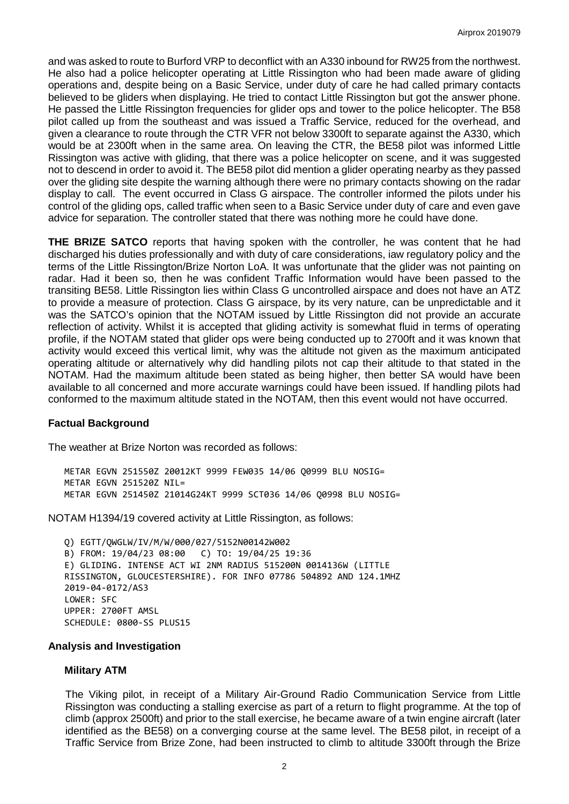and was asked to route to Burford VRP to deconflict with an A330 inbound for RW25 from the northwest. He also had a police helicopter operating at Little Rissington who had been made aware of gliding operations and, despite being on a Basic Service, under duty of care he had called primary contacts believed to be gliders when displaying. He tried to contact Little Rissington but got the answer phone. He passed the Little Rissington frequencies for glider ops and tower to the police helicopter. The B58 pilot called up from the southeast and was issued a Traffic Service, reduced for the overhead, and given a clearance to route through the CTR VFR not below 3300ft to separate against the A330, which would be at 2300ft when in the same area. On leaving the CTR, the BE58 pilot was informed Little Rissington was active with gliding, that there was a police helicopter on scene, and it was suggested not to descend in order to avoid it. The BE58 pilot did mention a glider operating nearby as they passed over the gliding site despite the warning although there were no primary contacts showing on the radar display to call. The event occurred in Class G airspace. The controller informed the pilots under his control of the gliding ops, called traffic when seen to a Basic Service under duty of care and even gave advice for separation. The controller stated that there was nothing more he could have done.

**THE BRIZE SATCO** reports that having spoken with the controller, he was content that he had discharged his duties professionally and with duty of care considerations, iaw regulatory policy and the terms of the Little Rissington/Brize Norton LoA. It was unfortunate that the glider was not painting on radar. Had it been so, then he was confident Traffic Information would have been passed to the transiting BE58. Little Rissington lies within Class G uncontrolled airspace and does not have an ATZ to provide a measure of protection. Class G airspace, by its very nature, can be unpredictable and it was the SATCO's opinion that the NOTAM issued by Little Rissington did not provide an accurate reflection of activity. Whilst it is accepted that gliding activity is somewhat fluid in terms of operating profile, if the NOTAM stated that glider ops were being conducted up to 2700ft and it was known that activity would exceed this vertical limit, why was the altitude not given as the maximum anticipated operating altitude or alternatively why did handling pilots not cap their altitude to that stated in the NOTAM. Had the maximum altitude been stated as being higher, then better SA would have been available to all concerned and more accurate warnings could have been issued. If handling pilots had conformed to the maximum altitude stated in the NOTAM, then this event would not have occurred.

#### **Factual Background**

The weather at Brize Norton was recorded as follows:

METAR EGVN 251550Z 20012KT 9999 FEW035 14/06 Q0999 BLU NOSIG= METAR EGVN 251520Z NIL= METAR EGVN 251450Z 21014G24KT 9999 SCT036 14/06 Q0998 BLU NOSIG=

NOTAM H1394/19 covered activity at Little Rissington, as follows:

Q) EGTT/QWGLW/IV/M/W/000/027/5152N00142W002 B) FROM: 19/04/23 08:00 C) TO: 19/04/25 19:36 E) GLIDING. INTENSE ACT WI 2NM RADIUS 515200N 0014136W (LITTLE RISSINGTON, GLOUCESTERSHIRE). FOR INFO 07786 504892 AND 124.1MHZ 2019-04-0172/AS3 LOWER: SFC UPPER: 2700FT AMSL SCHEDULE: 0800-SS PLUS15

#### **Analysis and Investigation**

#### **Military ATM**

The Viking pilot, in receipt of a Military Air-Ground Radio Communication Service from Little Rissington was conducting a stalling exercise as part of a return to flight programme. At the top of climb (approx 2500ft) and prior to the stall exercise, he became aware of a twin engine aircraft (later identified as the BE58) on a converging course at the same level. The BE58 pilot, in receipt of a Traffic Service from Brize Zone, had been instructed to climb to altitude 3300ft through the Brize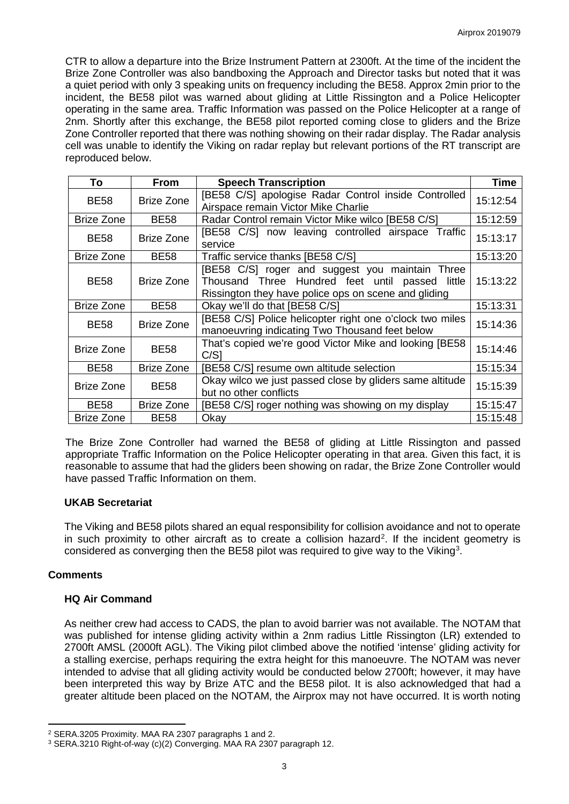CTR to allow a departure into the Brize Instrument Pattern at 2300ft. At the time of the incident the Brize Zone Controller was also bandboxing the Approach and Director tasks but noted that it was a quiet period with only 3 speaking units on frequency including the BE58. Approx 2min prior to the incident, the BE58 pilot was warned about gliding at Little Rissington and a Police Helicopter operating in the same area. Traffic Information was passed on the Police Helicopter at a range of 2nm. Shortly after this exchange, the BE58 pilot reported coming close to gliders and the Brize Zone Controller reported that there was nothing showing on their radar display. The Radar analysis cell was unable to identify the Viking on radar replay but relevant portions of the RT transcript are reproduced below.

| To                               | <b>From</b>                                                                                       | <b>Speech Transcription</b>                                                                                                                                | <b>Time</b> |
|----------------------------------|---------------------------------------------------------------------------------------------------|------------------------------------------------------------------------------------------------------------------------------------------------------------|-------------|
| <b>Brize Zone</b><br><b>BE58</b> |                                                                                                   | [BE58 C/S] apologise Radar Control inside Controlled<br>Airspace remain Victor Mike Charlie                                                                | 15:12:54    |
| Brize Zone                       | <b>BE58</b>                                                                                       | Radar Control remain Victor Mike wilco [BE58 C/S]                                                                                                          | 15:12:59    |
| <b>BE58</b>                      | [BE58 C/S] now leaving controlled airspace Traffic<br><b>Brize Zone</b><br>service                |                                                                                                                                                            | 15:13:17    |
| Brize Zone                       | <b>BE58</b>                                                                                       | Traffic service thanks [BE58 C/S]                                                                                                                          | 15:13:20    |
| <b>BE58</b>                      | Brize Zone                                                                                        | [BE58 C/S] roger and suggest you maintain Three<br>Thousand Three Hundred feet until passed little<br>Rissington they have police ops on scene and gliding | 15:13:22    |
| Brize Zone                       | <b>BE58</b>                                                                                       | Okay we'll do that [BE58 C/S]                                                                                                                              | 15:13:31    |
| <b>BE58</b>                      | <b>Brize Zone</b>                                                                                 | [BE58 C/S] Police helicopter right one o'clock two miles<br>manoeuvring indicating Two Thousand feet below                                                 | 15:14:36    |
| <b>Brize Zone</b>                | <b>BE58</b>                                                                                       | That's copied we're good Victor Mike and looking [BE58]<br>C/S1                                                                                            | 15:14:46    |
| <b>BE58</b>                      | Brize Zone                                                                                        | [BE58 C/S] resume own altitude selection                                                                                                                   | 15:15:34    |
| Brize Zone                       | Okay wilco we just passed close by gliders same altitude<br><b>BE58</b><br>but no other conflicts |                                                                                                                                                            | 15:15:39    |
| <b>BE58</b>                      | <b>Brize Zone</b>                                                                                 | [BE58 C/S] roger nothing was showing on my display                                                                                                         | 15:15:47    |
| <b>Brize Zone</b>                | <b>BE58</b>                                                                                       | Okay                                                                                                                                                       | 15:15:48    |

The Brize Zone Controller had warned the BE58 of gliding at Little Rissington and passed appropriate Traffic Information on the Police Helicopter operating in that area. Given this fact, it is reasonable to assume that had the gliders been showing on radar, the Brize Zone Controller would have passed Traffic Information on them.

## **UKAB Secretariat**

The Viking and BE58 pilots shared an equal responsibility for collision avoidance and not to operate in such proximity to other aircraft as to create a collision hazard<sup>[2](#page-2-0)</sup>. If the incident geometry is considered as converging then the BE58 pilot was required to give way to the Viking<sup>[3](#page-2-1)</sup>.

### **Comments**

l

## **HQ Air Command**

As neither crew had access to CADS, the plan to avoid barrier was not available. The NOTAM that was published for intense gliding activity within a 2nm radius Little Rissington (LR) extended to 2700ft AMSL (2000ft AGL). The Viking pilot climbed above the notified 'intense' gliding activity for a stalling exercise, perhaps requiring the extra height for this manoeuvre. The NOTAM was never intended to advise that all gliding activity would be conducted below 2700ft; however, it may have been interpreted this way by Brize ATC and the BE58 pilot. It is also acknowledged that had a greater altitude been placed on the NOTAM, the Airprox may not have occurred. It is worth noting

<span id="page-2-0"></span><sup>2</sup> SERA.3205 Proximity. MAA RA 2307 paragraphs 1 and 2.

<span id="page-2-1"></span><sup>3</sup> SERA.3210 Right-of-way (c)(2) Converging. MAA RA 2307 paragraph 12.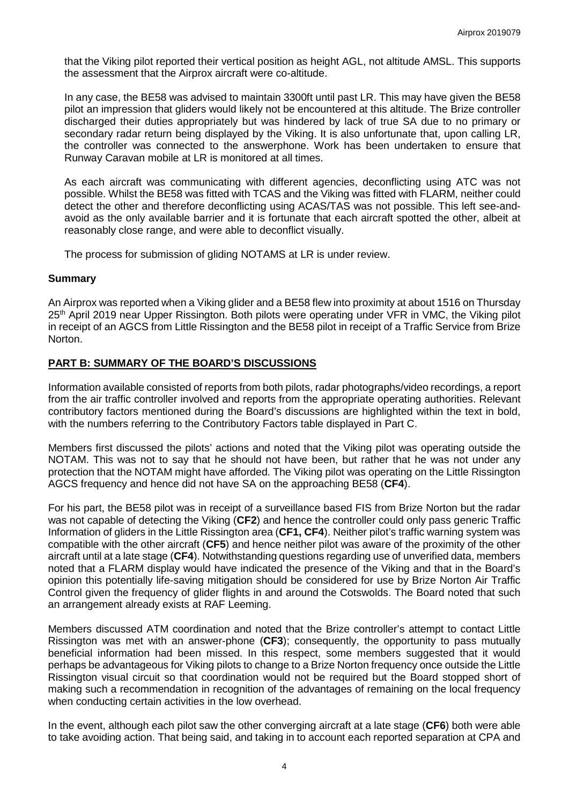that the Viking pilot reported their vertical position as height AGL, not altitude AMSL. This supports the assessment that the Airprox aircraft were co-altitude.

In any case, the BE58 was advised to maintain 3300ft until past LR. This may have given the BE58 pilot an impression that gliders would likely not be encountered at this altitude. The Brize controller discharged their duties appropriately but was hindered by lack of true SA due to no primary or secondary radar return being displayed by the Viking. It is also unfortunate that, upon calling LR, the controller was connected to the answerphone. Work has been undertaken to ensure that Runway Caravan mobile at LR is monitored at all times.

As each aircraft was communicating with different agencies, deconflicting using ATC was not possible. Whilst the BE58 was fitted with TCAS and the Viking was fitted with FLARM, neither could detect the other and therefore deconflicting using ACAS/TAS was not possible. This left see-andavoid as the only available barrier and it is fortunate that each aircraft spotted the other, albeit at reasonably close range, and were able to deconflict visually.

The process for submission of gliding NOTAMS at LR is under review.

### **Summary**

An Airprox was reported when a Viking glider and a BE58 flew into proximity at about 1516 on Thursday 25<sup>th</sup> April 2019 near Upper Rissington. Both pilots were operating under VFR in VMC, the Viking pilot in receipt of an AGCS from Little Rissington and the BE58 pilot in receipt of a Traffic Service from Brize Norton.

### **PART B: SUMMARY OF THE BOARD'S DISCUSSIONS**

Information available consisted of reports from both pilots, radar photographs/video recordings, a report from the air traffic controller involved and reports from the appropriate operating authorities. Relevant contributory factors mentioned during the Board's discussions are highlighted within the text in bold, with the numbers referring to the Contributory Factors table displayed in Part C.

Members first discussed the pilots' actions and noted that the Viking pilot was operating outside the NOTAM. This was not to say that he should not have been, but rather that he was not under any protection that the NOTAM might have afforded. The Viking pilot was operating on the Little Rissington AGCS frequency and hence did not have SA on the approaching BE58 (**CF4**).

For his part, the BE58 pilot was in receipt of a surveillance based FIS from Brize Norton but the radar was not capable of detecting the Viking (**CF2**) and hence the controller could only pass generic Traffic Information of gliders in the Little Rissington area (**CF1, CF4**). Neither pilot's traffic warning system was compatible with the other aircraft (**CF5**) and hence neither pilot was aware of the proximity of the other aircraft until at a late stage (**CF4**). Notwithstanding questions regarding use of unverified data, members noted that a FLARM display would have indicated the presence of the Viking and that in the Board's opinion this potentially life-saving mitigation should be considered for use by Brize Norton Air Traffic Control given the frequency of glider flights in and around the Cotswolds. The Board noted that such an arrangement already exists at RAF Leeming.

Members discussed ATM coordination and noted that the Brize controller's attempt to contact Little Rissington was met with an answer-phone (**CF3**); consequently, the opportunity to pass mutually beneficial information had been missed. In this respect, some members suggested that it would perhaps be advantageous for Viking pilots to change to a Brize Norton frequency once outside the Little Rissington visual circuit so that coordination would not be required but the Board stopped short of making such a recommendation in recognition of the advantages of remaining on the local frequency when conducting certain activities in the low overhead.

In the event, although each pilot saw the other converging aircraft at a late stage (**CF6**) both were able to take avoiding action. That being said, and taking in to account each reported separation at CPA and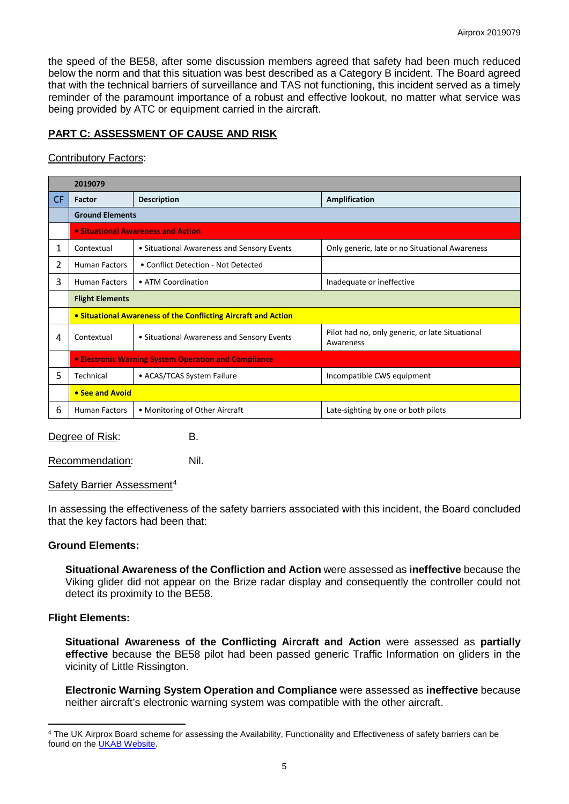the speed of the BE58, after some discussion members agreed that safety had been much reduced below the norm and that this situation was best described as a Category B incident. The Board agreed that with the technical barriers of surveillance and TAS not functioning, this incident served as a timely reminder of the paramount importance of a robust and effective lookout, no matter what service was being provided by ATC or equipment carried in the aircraft.

## **PART C: ASSESSMENT OF CAUSE AND RISK**

### Contributory Factors:

|     | 2019079                                                        |                                            |                                                              |  |  |  |  |  |  |  |
|-----|----------------------------------------------------------------|--------------------------------------------|--------------------------------------------------------------|--|--|--|--|--|--|--|
| CF. | Factor                                                         | <b>Description</b>                         | <b>Amplification</b>                                         |  |  |  |  |  |  |  |
|     | <b>Ground Elements</b>                                         |                                            |                                                              |  |  |  |  |  |  |  |
|     | • Situational Awareness and Action                             |                                            |                                                              |  |  |  |  |  |  |  |
| 1   | Contextual                                                     | • Situational Awareness and Sensory Events | Only generic, late or no Situational Awareness               |  |  |  |  |  |  |  |
| 2   | <b>Human Factors</b>                                           | • Conflict Detection - Not Detected        |                                                              |  |  |  |  |  |  |  |
| 3   | <b>Human Factors</b>                                           | • ATM Coordination                         | Inadequate or ineffective                                    |  |  |  |  |  |  |  |
|     | <b>Flight Elements</b>                                         |                                            |                                                              |  |  |  |  |  |  |  |
|     | • Situational Awareness of the Conflicting Aircraft and Action |                                            |                                                              |  |  |  |  |  |  |  |
| 4   | Contextual                                                     | • Situational Awareness and Sensory Events | Pilot had no, only generic, or late Situational<br>Awareness |  |  |  |  |  |  |  |
|     | • Electronic Warning System Operation and Compliance           |                                            |                                                              |  |  |  |  |  |  |  |
| 5   | Technical                                                      | • ACAS/TCAS System Failure                 | Incompatible CWS equipment                                   |  |  |  |  |  |  |  |
|     | • See and Avoid                                                |                                            |                                                              |  |  |  |  |  |  |  |
| 6   | <b>Human Factors</b>                                           | • Monitoring of Other Aircraft             | Late-sighting by one or both pilots                          |  |  |  |  |  |  |  |

Degree of Risk: B.

Recommendation: Nil.

### Safety Barrier Assessment<sup>[4](#page-4-0)</sup>

In assessing the effectiveness of the safety barriers associated with this incident, the Board concluded that the key factors had been that:

### **Ground Elements:**

**Situational Awareness of the Confliction and Action** were assessed as **ineffective** because the Viking glider did not appear on the Brize radar display and consequently the controller could not detect its proximity to the BE58.

## **Flight Elements:**

l

**Situational Awareness of the Conflicting Aircraft and Action** were assessed as **partially effective** because the BE58 pilot had been passed generic Traffic Information on gliders in the vicinity of Little Rissington.

**Electronic Warning System Operation and Compliance** were assessed as **ineffective** because neither aircraft's electronic warning system was compatible with the other aircraft.

<span id="page-4-0"></span><sup>4</sup> The UK Airprox Board scheme for assessing the Availability, Functionality and Effectiveness of safety barriers can be found on the [UKAB Website.](http://www.airproxboard.org.uk/Learn-more/Airprox-Barrier-Assessment/)